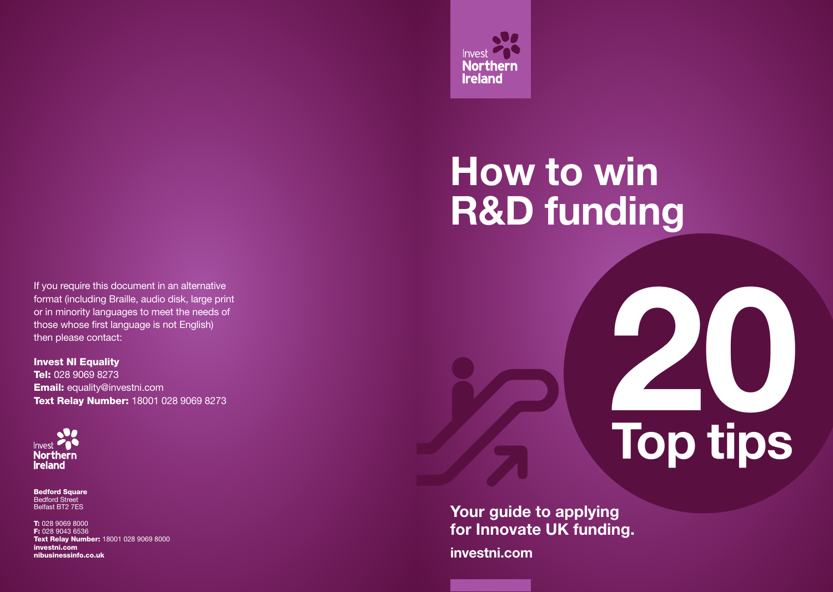

# **How to win R&D funding**

If you require this document in an alternative format (including Braille, audio disk, large print or in minority languages to meet the needs of those whose first language is not English) then please contact:

**Invest NI Equality** Tel: 028 9069 8273 Email: equality@investni.com **Text Relay Number: 18001 028 9069 8273** 



**Bedford Square** Bedford Street Belfast BT2 7ES

T: 028 9069 8000 F: 028 9043 6536 Text Relay Number: 18001 028 9069 8000 investni.com nibusinessinfo.co.uk

# **20 Top tips**

## **Your guide to applying for Innovate UK funding.**

**investni.com**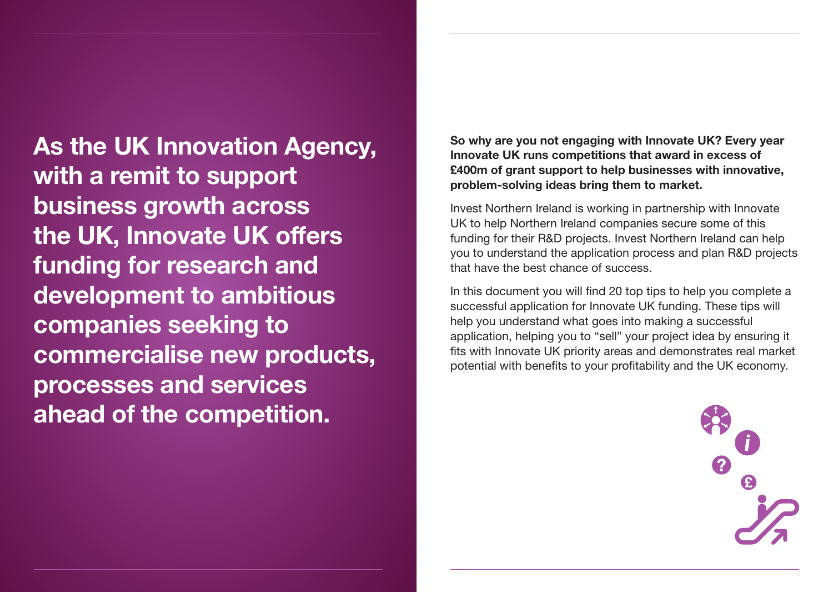**As the UK Innovation Agency, with a remit to support business growth across the UK, Innovate UK offers funding for research and development to ambitious companies seeking to commercialise new products, processes and services ahead of the competition.**

**So why are you not engaging with Innovate UK? Every year Innovate UK runs competitions that award in excess of £400m of grant support to help businesses with innovative, problem-solving ideas bring them to market.**

Invest Northern Ireland is working in partnership with Innovate UK to help Northern Ireland companies secure some of this funding for their R&D projects. Invest Northern Ireland can help you to understand the application process and plan R&D projects that have the best chance of success.

In this document you will find 20 top tips to help you complete a successful application for Innovate UK funding. These tips will help you understand what goes into making a successful application, helping you to "sell" your project idea by ensuring it fits with Innovate UK priority areas and demonstrates real market potential with benefits to your profitability and the UK economy.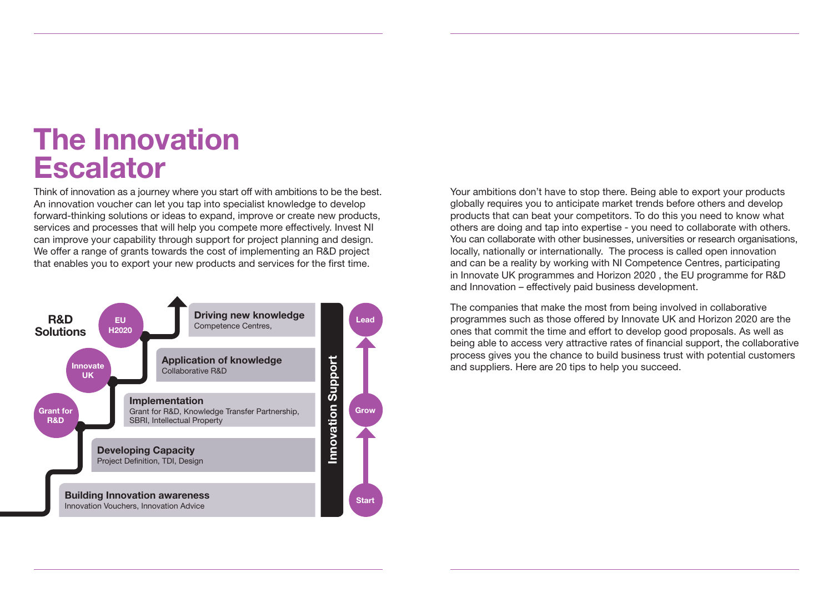## **The Innovation Escalator**

Think of innovation as a journey where you start off with ambitions to be the best. An innovation voucher can let you tap into specialist knowledge to develop forward-thinking solutions or ideas to expand, improve or create new products, services and processes that will help you compete more effectively. Invest NI can improve your capability through support for project planning and design. We offer a range of grants towards the cost of implementing an R&D project that enables you to export your new products and services for the first time.



Your ambitions don't have to stop there. Being able to export your products globally requires you to anticipate market trends before others and develop products that can beat your competitors. To do this you need to know what others are doing and tap into expertise - you need to collaborate with others. You can collaborate with other businesses, universities or research organisations, locally, nationally or internationally. The process is called open innovation and can be a reality by working with NI Competence Centres, participating in Innovate UK programmes and Horizon 2020 , the EU programme for R&D and Innovation – effectively paid business development.

The companies that make the most from being involved in collaborative programmes such as those offered by Innovate UK and Horizon 2020 are the ones that commit the time and effort to develop good proposals. As well as being able to access very attractive rates of financial support, the collaborative process gives you the chance to build business trust with potential customers and suppliers. Here are 20 tips to help you succeed.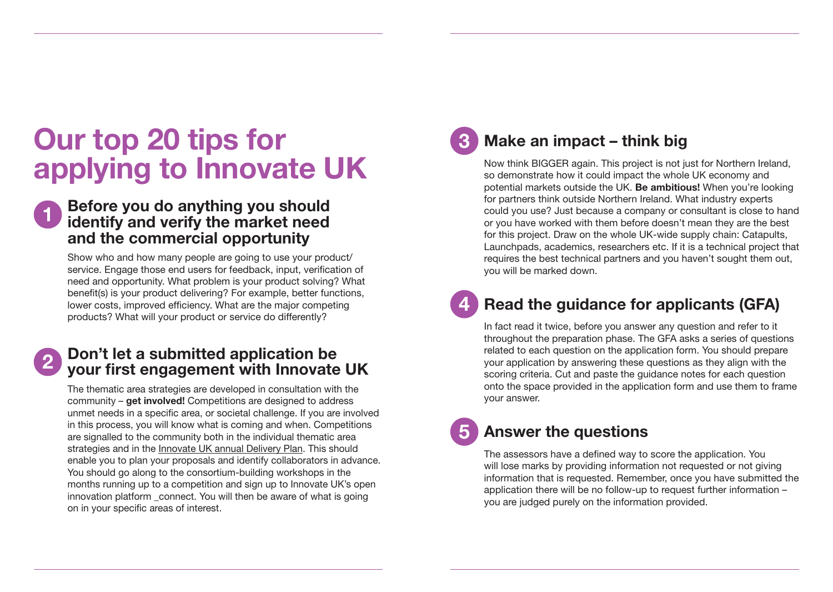# **Our top 20 tips for applying to Innovate UK**

## **1 Before you do anything you should identify and verify the market need and the commercial opportunity**

Show who and how many people are going to use your product/ service. Engage those end users for feedback, input, verification of need and opportunity. What problem is your product solving? What benefit(s) is your product delivering? For example, better functions, lower costs, improved efficiency. What are the major competing products? What will your product or service do differently?

## **2 Don't let a submitted application be your first engagement with Innovate UK**

The thematic area strategies are developed in consultation with the community – **get involved!** Competitions are designed to address unmet needs in a specific area, or societal challenge. If you are involved in this process, you will know what is coming and when. Competitions are signalled to the community both in the individual thematic area strategies and in the Innovate UK annual Delivery Plan. This should enable you to plan your proposals and identify collaborators in advance. You should go along to the consortium-building workshops in the months running up to a competition and sign up to Innovate UK's open innovation platform connect. You will then be aware of what is going on in your specific areas of interest.

## **3 Make an impact – think big**

Now think BIGGER again. This project is not just for Northern Ireland, so demonstrate how it could impact the whole UK economy and potential markets outside the UK. **Be ambitious!** When you're looking for partners think outside Northern Ireland. What industry experts could you use? Just because a company or consultant is close to hand or you have worked with them before doesn't mean they are the best for this project. Draw on the whole UK-wide supply chain: Catapults, Launchpads, academics, researchers etc. If it is a technical project that requires the best technical partners and you haven't sought them out, you will be marked down.

## **4 Read the guidance for applicants (GFA)**

In fact read it twice, before you answer any question and refer to it throughout the preparation phase. The GFA asks a series of questions related to each question on the application form. You should prepare your application by answering these questions as they align with the scoring criteria. Cut and paste the guidance notes for each question onto the space provided in the application form and use them to frame your answer.

## **5 Answer the questions**

The assessors have a defined way to score the application. You will lose marks by providing information not requested or not giving information that is requested. Remember, once you have submitted the application there will be no follow-up to request further information – you are judged purely on the information provided.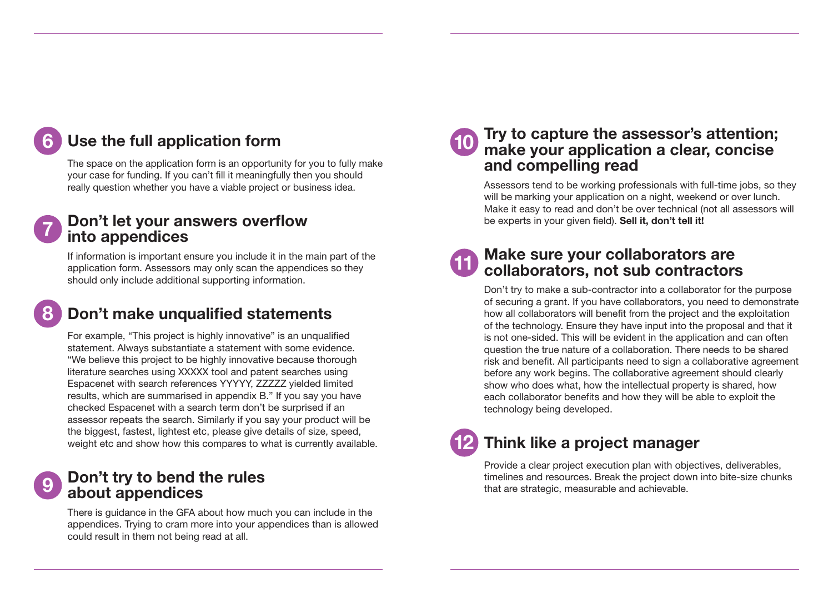## **6 Use the full application form**

The space on the application form is an opportunity for you to fully make your case for funding. If you can't fill it meaningfully then you should really question whether you have a viable project or business idea.

### **7 Don't let your answers overflow into appendices**

If information is important ensure you include it in the main part of the application form. Assessors may only scan the appendices so they should only include additional supporting information.

## **8 Don't make unqualified statements**

For example, "This project is highly innovative" is an unqualified statement. Always substantiate a statement with some evidence. "We believe this project to be highly innovative because thorough literature searches using XXXXX tool and patent searches using Espacenet with search references YYYYY, ZZZZZ yielded limited results, which are summarised in appendix B." If you say you have checked Espacenet with a search term don't be surprised if an assessor repeats the search. Similarly if you say your product will be the biggest, fastest, lightest etc, please give details of size, speed, weight etc and show how this compares to what is currently available.

## **9 Don't try to bend the rules about appendices**

There is guidance in the GFA about how much you can include in the appendices. Trying to cram more into your appendices than is allowed could result in them not being read at all.

## **10 Try to capture the assessor's attention; make your application a clear, concise and compelling read**

Assessors tend to be working professionals with full-time jobs, so they will be marking your application on a night, weekend or over lunch. Make it easy to read and don't be over technical (not all assessors will be experts in your given field). **Sell it, don't tell it!**

## **11 Make sure your collaborators are collaborators, not sub contractors**

Don't try to make a sub-contractor into a collaborator for the purpose of securing a grant. If you have collaborators, you need to demonstrate how all collaborators will benefit from the project and the exploitation of the technology. Ensure they have input into the proposal and that it is not one-sided. This will be evident in the application and can often question the true nature of a collaboration. There needs to be shared risk and benefit. All participants need to sign a collaborative agreement before any work begins. The collaborative agreement should clearly show who does what, how the intellectual property is shared, how each collaborator benefits and how they will be able to exploit the technology being developed.

## **12 Think like a project manager**

Provide a clear project execution plan with objectives, deliverables, timelines and resources. Break the project down into bite-size chunks that are strategic, measurable and achievable.